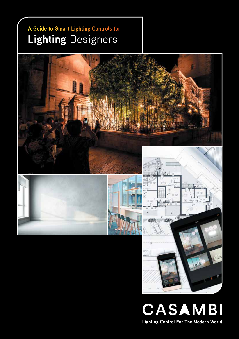#### **A Guide to Smart Lighting Controls for Lighting** Designers



CASAMBI **Lighting Control For The Modern World**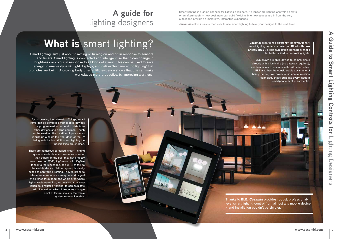Smart lighting is a game changer for lighting designers. No longer are lighting controls an extra or an afterthought – now designers can build flexibility into how spaces are lit from the very outset and provide an immersive, interactive experience.

**Casambi** makes it easier than ever to use smart lighting to take your designs to the next level.

Thanks to **BLE, Casambi** provides robust, professionallevel smart lighting control from almost any mobile device – and installation couldn't be simpler.

# **What is** smart lighting?

**Casambi** does things differently. Its revolutionary smart lighting system is based on Bluetooth Low Energy (BLE), a communication technology that's far better suited to controlling lights. BLE allows a mobile device to communicate directly with a luminaire (no gateway required), and luminaires to communicate with each other. **BLE** also has the considerable advantage of being the only low-power radio communication technology that's built into every modern smartphone, laptop and tablet.

#### **A guide for** lighting designers

Smart lighting isn't just about dimming or turning on and off in response to sensors and timers. Smart lighting is connected and intelligent, so that it can change in brightness or colour in response to all kinds of stimuli. This can be used to save energy, to enable dynamic light displays, and deliver 'human-centric lighting' that promotes wellbeing. A growing body of scientific evidence shows that this can make workplaces more productive, by improving alertness.

By harnessing the Internet of Things, smart lights can be controlled from mobile devices or programmed to respond to data from other devices and online services – such as the weather, the location of your car as it pulls up outside the front door, or the TV being switched on. With smart lighting the possibilities are endless.

There are numerous so-called 'smart' lighting systems available – and some are smarter than others. In the past they have mostly been based on Wi-Fi, ZigBee or both: ZigBee to talk to the luminaires, and Wi-Fi to talk to the mobile device. Neither system is ideally suited to controlling lighting. They're prone to interference, require a strong network signal at all times throughout the whole area where lights are in operation, and rely on a gateway (such as a router or bridge) to communicate with luminaires, which introduces a single point of failure, making the whole system more vulnerable.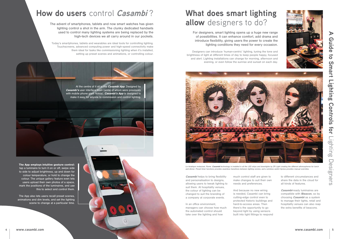#### **How do users** control **Casambi** ?



The advent of smartphones, tablets and now smart watches has given lighting control a shot in the arm. The clunky dedicated handsets used to control many lighting systems are being replaced by the high-tech devices we all carry around in our pockets.

Today's smartphones, tablets and wearables are ideal tools for controlling lighting. Touchscreens, advanced computing power and high-speed connectivity make them ideal for tasks like commissioning lighting when it's installed, setting up preset scenes and animations, or controlling colour.

The App employs intuitive gesture control: tap a luminaire to turn it on or off, swipe side to side to adjust brightness, up and down for colour temperature, or hold to change the colour. The unique gallery feature even lets users upload their own photos of a space, mark the positions of the luminaires, and use this to select and control them.



**Casambi** helps to bring flexibility and personalisation to designs, allowing users to tweak lighting to suit them. At hospitality venues, the colour of lighting can be changed to suit the branding of a company at corporate events.

Casambi-ready luminaires are compatible with iBeacon, so by choosing *Casambi* as a system to manage their lights, retail and hospitality venues can also reap the extra benefits of beacons.

The App also lets users recall preset scenes, animations and dim levels, and set the lighting scene to change at a particular time.

### **What does smart lighting allow** designers to do?

In an office environment, managers can choose how much the automated control should take over the lighting and how

much control staff are given to make changes to suit their own needs and preferences.

And because no new wiring is needed, Casambi can bring cutting-edge control even to protected historic buildings and hard-to-access areas. Then there's the opportunity to go beyond light by using sensors built into light fittings to respond to different circumstances and share the data in the cloud for all kinds of features.

For designers, smart lighting opens up a huge new range of possibilities. It can enhance comfort, add drama and introduce flexibility, giving users the power to create the lighting conditions they need for every occasion.

Designers can introduce 'human-centric' lighting, tuning the tone and brightness of light at different times of day to keep people happy, focused and alert. Lighting installations can change for morning, afternoon and evening, or even follow the sunrise and sunset on each day.



*Le Asiatique restaurant, Rome.* Casambi *technology is installed in all the LED strips and downlights by ZR Light creating the different athmospheres for lunch and dinner. Preset timer functions provides seamless transitions between lighting scenes, and a wireless switch Xpress provides manual overrides.*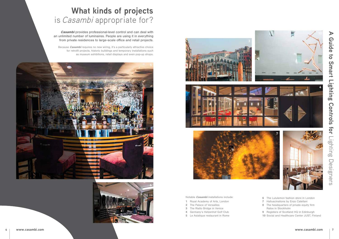## **What kinds of projects**  is Casambi appropriate for?

**Casambi** provides professional-level control and can deal with an unlimited number of luminaires. People are using it in everything from private residences to large-scale office and retail projects.

Because **Casambi** requires no new wiring, it's a particularly attractive choice for retrofit projects, historic buildings and temporary installations such as museum exhibitions, retail displays and even pop-up shops.

- 1 Royal Academy of Arts, London
- 2 The Palace of Versailles
- 3 The Rialto Bridge in Venice
- 4 Germany's Hetzenhof Golf Club
- 5 Le Asiatique restaurant in Rome











Notable *Casambi* installations include:



- 6 The Lululemon fashion store in London
- 7 Halluscinations by Enzo Catellani
- 8 The headquarters of private equity firm Ratos in Stockholm
- 9 Registers of Scotland HQ in Edinburgh
- 10 Social and Healthcare Center JUST, Finland